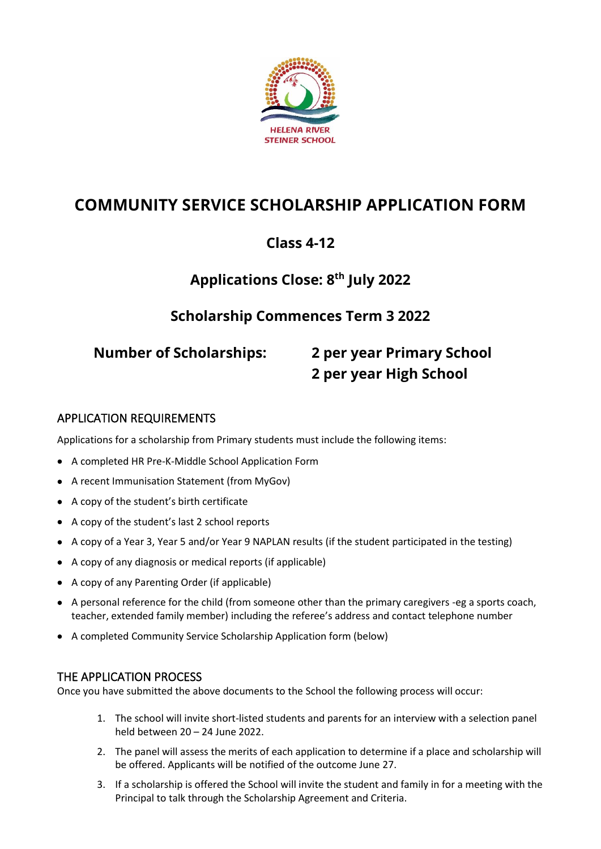

# **COMMUNITY SERVICE SCHOLARSHIP APPLICATION FORM**

## **Class 4-12**

## **Applications Close: 8 th July 2022**

## **Scholarship Commences Term 3 2022**

# **Number of Scholarships: 2 per year Primary School 2 per year High School**

### APPLICATION REQUIREMENTS

Applications for a scholarship from Primary students must include the following items:

- A completed HR Pre-K-Middle School Application Form
- A recent Immunisation Statement (from MyGov)
- A copy of the student's birth certificate
- A copy of the student's last 2 school reports
- A copy of a Year 3, Year 5 and/or Year 9 NAPLAN results (if the student participated in the testing)
- A copy of any diagnosis or medical reports (if applicable)
- A copy of any Parenting Order (if applicable)
- A personal reference for the child (from someone other than the primary caregivers -eg a sports coach, teacher, extended family member) including the referee's address and contact telephone number
- A completed Community Service Scholarship Application form (below)

#### THE APPLICATION PROCESS

Once you have submitted the above documents to the School the following process will occur:

- 1. The school will invite short-listed students and parents for an interview with a selection panel held between 20 – 24 June 2022.
- 2. The panel will assess the merits of each application to determine if a place and scholarship will be offered. Applicants will be notified of the outcome June 27.
- 3. If a scholarship is offered the School will invite the student and family in for a meeting with the Principal to talk through the Scholarship Agreement and Criteria.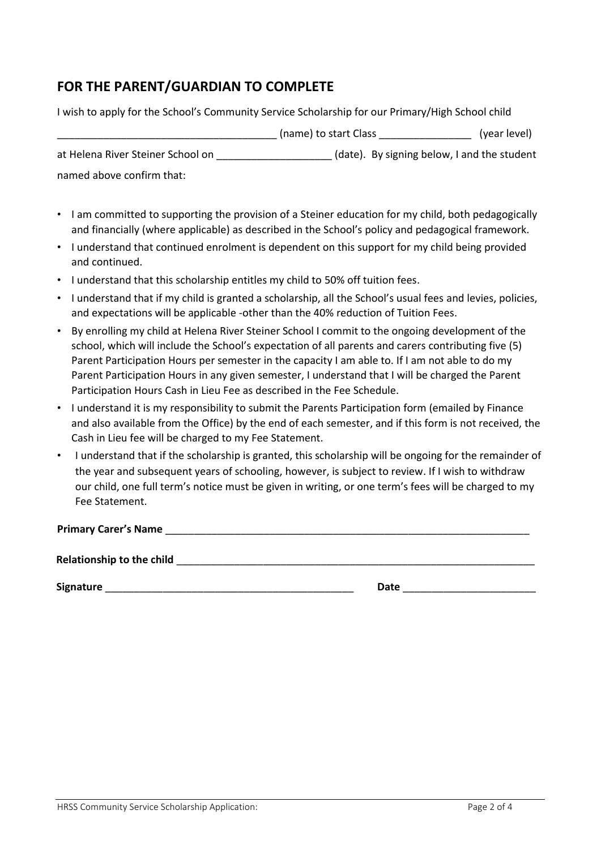## **FOR THE PARENT/GUARDIAN TO COMPLETE**

I wish to apply for the School's Community Service Scholarship for our Primary/High School child

|                                   | (name) to start Class | (year level)                                |
|-----------------------------------|-----------------------|---------------------------------------------|
| at Helena River Steiner School on |                       | (date). By signing below, I and the student |
| named above confirm that:         |                       |                                             |

- I am committed to supporting the provision of a Steiner education for my child, both pedagogically and financially (where applicable) as described in the School's policy and pedagogical framework.
- I understand that continued enrolment is dependent on this support for my child being provided and continued.
- I understand that this scholarship entitles my child to 50% off tuition fees.
- I understand that if my child is granted a scholarship, all the School's usual fees and levies, policies, and expectations will be applicable -other than the 40% reduction of Tuition Fees.
- By enrolling my child at Helena River Steiner School I commit to the ongoing development of the school, which will include the School's expectation of all parents and carers contributing five (5) Parent Participation Hours per semester in the capacity I am able to. If I am not able to do my Parent Participation Hours in any given semester, I understand that I will be charged the Parent Participation Hours Cash in Lieu Fee as described in the Fee Schedule.
- I understand it is my responsibility to submit the Parents Participation form (emailed by Finance and also available from the Office) by the end of each semester, and if this form is not received, the Cash in Lieu fee will be charged to my Fee Statement.
- I understand that if the scholarship is granted, this scholarship will be ongoing for the remainder of the year and subsequent years of schooling, however, is subject to review. If I wish to withdraw our child, one full term's notice must be given in writing, or one term's fees will be charged to my Fee Statement.

**Primary Carer's Name** \_\_\_\_\_\_\_\_\_\_\_\_\_\_\_\_\_\_\_\_\_\_\_\_\_\_\_\_\_\_\_\_\_\_\_\_\_\_\_\_\_\_\_\_\_\_\_\_\_\_\_\_\_\_\_\_\_\_\_\_\_\_\_

Relationship to the child **and the child and the child** 

**Signature** \_\_\_\_\_\_\_\_\_\_\_\_\_\_\_\_\_\_\_\_\_\_\_\_\_\_\_\_\_\_\_\_\_\_\_\_\_\_\_\_\_\_\_ **Date** \_\_\_\_\_\_\_\_\_\_\_\_\_\_\_\_\_\_\_\_\_\_\_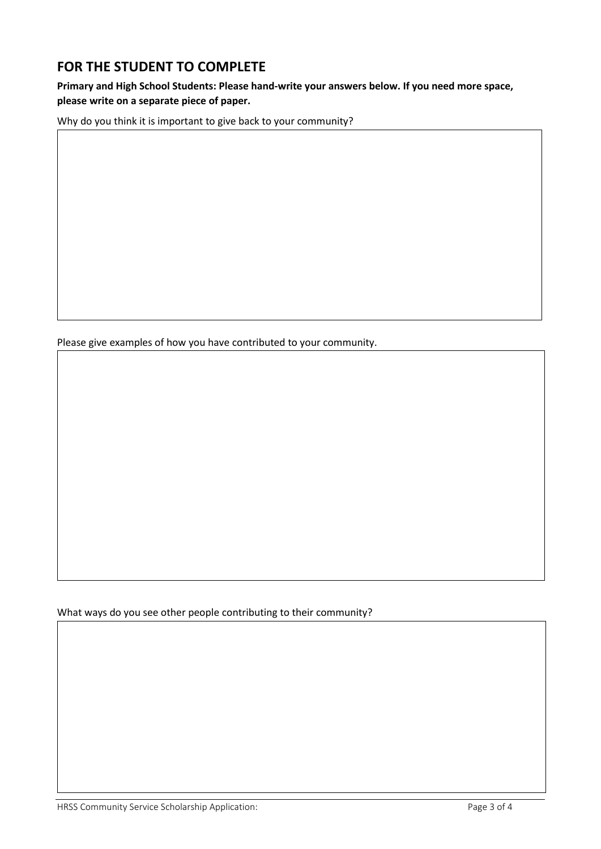## **FOR THE STUDENT TO COMPLETE**

**Primary and High School Students: Please hand-write your answers below. If you need more space, please write on a separate piece of paper.**

Why do you think it is important to give back to your community?

Please give examples of how you have contributed to your community.

What ways do you see other people contributing to their community?